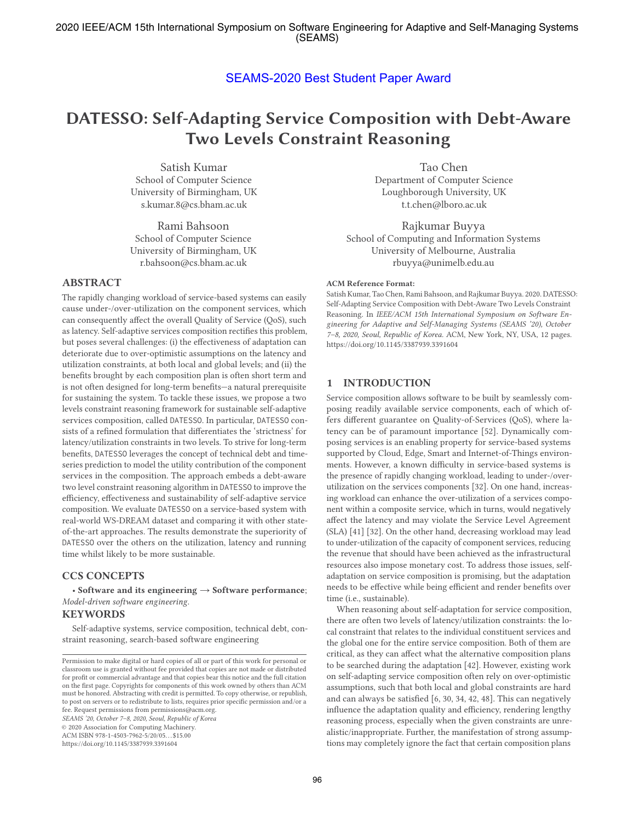# SEAMS-2020 Best Student Paper Award

# **DATESSO: Self-Adapting Service Composition with Debt-Aware Two Levels Constraint Reasoning**

Satish Kumar School of Computer Science University of Birmingham, UK s.kumar.8@cs.bham.ac.uk

Rami Bahsoon School of Computer Science University of Birmingham, UK r.bahsoon@cs.bham.ac.uk

# **ABSTRACT**

The rapidly changing workload of service-based systems can easily cause under-/over-utilization on the component services, which can consequently affect the overall Quality of Service (QoS), such as latency. Self-adaptive services composition rectifies this problem, but poses several challenges: (i) the effectiveness of adaptation can deteriorate due to over-optimistic assumptions on the latency and utilization constraints, at both local and global levels; and (ii) the benefits brought by each composition plan is often short term and is not often designed for long-term benefits—a natural prerequisite for sustaining the system. To tackle these issues, we propose a two levels constraint reasoning framework for sustainable self-adaptive services composition, called DATESSO. In particular, DATESSO consists of a refined formulation that differentiates the 'strictness' for latency/utilization constraints in two levels. To strive for long-term benefits, DATESSO leverages the concept of technical debt and timeseries prediction to model the utility contribution of the component services in the composition. The approach embeds a debt-aware two level constraint reasoning algorithm in DATESSO to improve the efficiency, effectiveness and sustainability of self-adaptive service composition. We evaluate DATESSO on a service-based system with real-world WS-DREAM dataset and comparing it with other stateof-the-art approaches. The results demonstrate the superiority of DATESSO over the others on the utilization, latency and running time whilst likely to be more sustainable.

# **CCS CONCEPTS**

• **Software and its engineering** → **Software performance**; *Model-driven software engineering*.

#### **KEYWORDS**

Self-adaptive systems, service composition, technical debt, constraint reasoning, search-based software engineering

*SEAMS '20, October 7–8, 2020, Seoul, Republic of Korea*

© 2020 Association for Computing Machinery.

ACM ISBN 978-1-4503-7962-5/20/05. . . \$15.00

Tao Chen Department of Computer Science Loughborough University, UK t.t.chen@lboro.ac.uk

Rajkumar Buyya School of Computing and Information Systems University of Melbourne, Australia rbuyya@unimelb.edu.au

#### **ACM Reference Format:**

Satish Kumar, Tao Chen, Rami Bahsoon, and Rajkumar Buyya. 2020. DATESSO: Self-Adapting Service Composition with Debt-Aware Two Levels Constraint Reasoning. In *IEEE/ACM 15th International Symposium on Software Engineering for Adaptive and Self-Managing Systems (SEAMS '20), October 7–8, 2020, Seoul, Republic of Korea.* ACM, New York, NY, USA, 12 pages. https://doi.org/10.1145/3387939.3391604

## **1 INTRODUCTION**

Service composition allows software to be built by seamlessly composing readily available service components, each of which offers different guarantee on Quality-of-Services (QoS), where latency can be of paramount importance [52]. Dynamically composing services is an enabling property for service-based systems supported by Cloud, Edge, Smart and Internet-of-Things environments. However, a known difficulty in service-based systems is the presence of rapidly changing workload, leading to under-/overutilization on the services components [32]. On one hand, increasing workload can enhance the over-utilization of a services component within a composite service, which in turns, would negatively affect the latency and may violate the Service Level Agreement (SLA) [41] [32]. On the other hand, decreasing workload may lead to under-utilization of the capacity of component services, reducing the revenue that should have been achieved as the infrastructural resources also impose monetary cost. To address those issues, selfadaptation on service composition is promising, but the adaptation needs to be effective while being efficient and render benefits over time (i.e., sustainable).

When reasoning about self-adaptation for service composition, there are often two levels of latency/utilization constraints: the local constraint that relates to the individual constituent services and the global one for the entire service composition. Both of them are critical, as they can affect what the alternative composition plans to be searched during the adaptation [42]. However, existing work on self-adapting service composition often rely on over-optimistic assumptions, such that both local and global constraints are hard and can always be satisfied [6, 30, 34, 42, 48]. This can negatively influence the adaptation quality and efficiency, rendering lengthy reasoning process, especially when the given constraints are unrealistic/inappropriate. Further, the manifestation of strong assumptions may completely ignore the fact that certain composition plans

Permission to make digital or hard copies of all or part of this work for personal or classroom use is granted without fee provided that copies are not made or distributed for profit or commercial advantage and that copies bear this notice and the full citation on the first page. Copyrights for components of this work owned by others than ACM must be honored. Abstracting with credit is permitted. To copy otherwise, or republish, to post on servers or to redistribute to lists, requires prior specific permission and/or a fee. Request permissions from permissions@acm.org.

https://doi.org/10.1145/3387939.3391604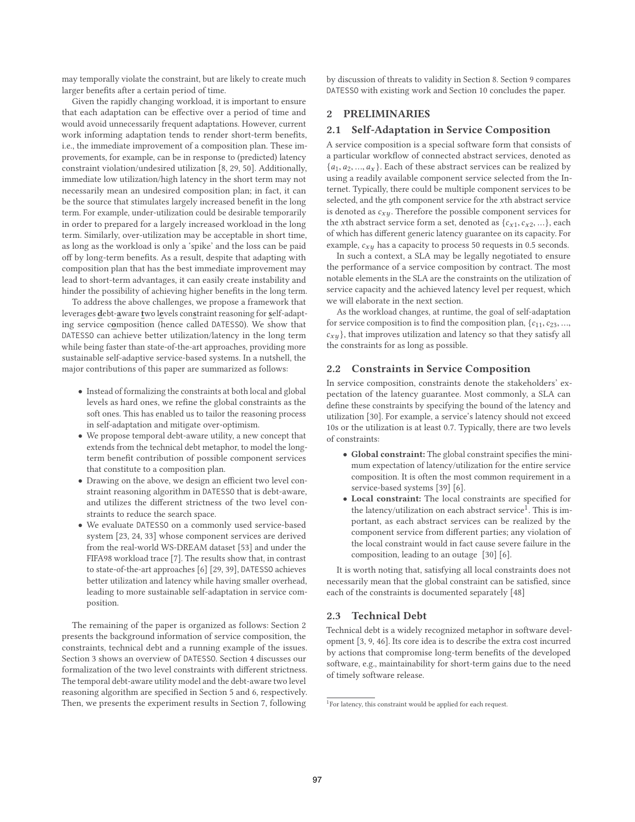may temporally violate the constraint, but are likely to create much larger benefits after a certain period of time.

Given the rapidly changing workload, it is important to ensure that each adaptation can be effective over a period of time and would avoid unnecessarily frequent adaptations. However, current work informing adaptation tends to render short-term benefits, i.e., the immediate improvement of a composition plan. These improvements, for example, can be in response to (predicted) latency constraint violation/undesired utilization [8, 29, 50]. Additionally, immediate low utilization/high latency in the short term may not necessarily mean an undesired composition plan; in fact, it can be the source that stimulates largely increased benefit in the long term. For example, under-utilization could be desirable temporarily in order to prepared for a largely increased workload in the long term. Similarly, over-utilization may be acceptable in short time, as long as the workload is only a 'spike' and the loss can be paid off by long-term benefits. As a result, despite that adapting with composition plan that has the best immediate improvement may lead to short-term advantages, it can easily create instability and hinder the possibility of achieving higher benefits in the long term.

To address the above challenges, we propose a framework that leverages **d**ebt-**a**ware **t**wo l**e**vels con**s**traint reasoning for **s**elf-adapting service c**o**mposition (hence called DATESSO). We show that DATESSO can achieve better utilization/latency in the long term while being faster than state-of-the-art approaches, providing more sustainable self-adaptive service-based systems. In a nutshell, the major contributions of this paper are summarized as follows:

- Instead of formalizing the constraints at both local and global levels as hard ones, we refine the global constraints as the soft ones. This has enabled us to tailor the reasoning process in self-adaptation and mitigate over-optimism.
- We propose temporal debt-aware utility, a new concept that extends from the technical debt metaphor, to model the longterm benefit contribution of possible component services that constitute to a composition plan.
- Drawing on the above, we design an efficient two level constraint reasoning algorithm in DATESSO that is debt-aware, and utilizes the different strictness of the two level constraints to reduce the search space.
- We evaluate DATESSO on a commonly used service-based system [23, 24, 33] whose component services are derived from the real-world WS-DREAM dataset [53] and under the FIFA98 workload trace [7]. The results show that, in contrast to state-of-the-art approaches [6] [29, 39], DATESSO achieves better utilization and latency while having smaller overhead, leading to more sustainable self-adaptation in service composition.

The remaining of the paper is organized as follows: Section 2 presents the background information of service composition, the constraints, technical debt and a running example of the issues. Section 3 shows an overview of DATESSO. Section 4 discusses our formalization of the two level constraints with different strictness. The temporal debt-aware utility model and the debt-aware two level reasoning algorithm are specified in Section 5 and 6, respectively. Then, we presents the experiment results in Section 7, following

by discussion of threats to validity in Section 8. Section 9 compares DATESSO with existing work and Section 10 concludes the paper.

# **2 PRELIMINARIES**

## **2.1 Self-Adaptation in Service Composition**

A service composition is a special software form that consists of a particular workflow of connected abstract services, denoted as  $\{a_1, a_2, ..., a_x\}$ . Each of these abstract services can be realized by using a readily available component service selected from the Internet. Typically, there could be multiple component services to be selected, and the yth component service for the xth abstract service is denoted as  $c_{xy}$ . Therefore the possible component services for the xth abstract service form a set, denoted as  $\{c_{x1},c_{x2},...\}$ , each of which has different generic latency guarantee on its capacity. For example,  $c_{xy}$  has a capacity to process 50 requests in 0.5 seconds.

In such a context, a SLA may be legally negotiated to ensure the performance of a service composition by contract. The most notable elements in the SLA are the constraints on the utilization of service capacity and the achieved latency level per request, which we will elaborate in the next section.

As the workload changes, at runtime, the goal of self-adaptation for service composition is to find the composition plan,  ${c_{11}, c_{23}, ...,}$  $c_{x,y}$ , that improves utilization and latency so that they satisfy all the constraints for as long as possible.

#### **2.2 Constraints in Service Composition**

In service composition, constraints denote the stakeholders' expectation of the latency guarantee. Most commonly, a SLA can define these constraints by specifying the bound of the latency and utilization [30]. For example, a service's latency should not exceed 10s or the utilization is at least 0.7. Typically, there are two levels of constraints:

- **Global constraint:** The global constraint specifies the minimum expectation of latency/utilization for the entire service composition. It is often the most common requirement in a service-based systems [39] [6].
- **Local constraint:** The local constraints are specified for the latency/utilization on each abstract service<sup>1</sup>. This is important, as each abstract services can be realized by the component service from different parties; any violation of the local constraint would in fact cause severe failure in the composition, leading to an outage [30] [6].

It is worth noting that, satisfying all local constraints does not necessarily mean that the global constraint can be satisfied, since each of the constraints is documented separately [48]

# **2.3 Technical Debt**

Technical debt is a widely recognized metaphor in software development [3, 9, 46]. Its core idea is to describe the extra cost incurred by actions that compromise long-term benefits of the developed software, e.g., maintainability for short-term gains due to the need of timely software release.

<sup>&</sup>lt;sup>1</sup>For latency, this constraint would be applied for each request.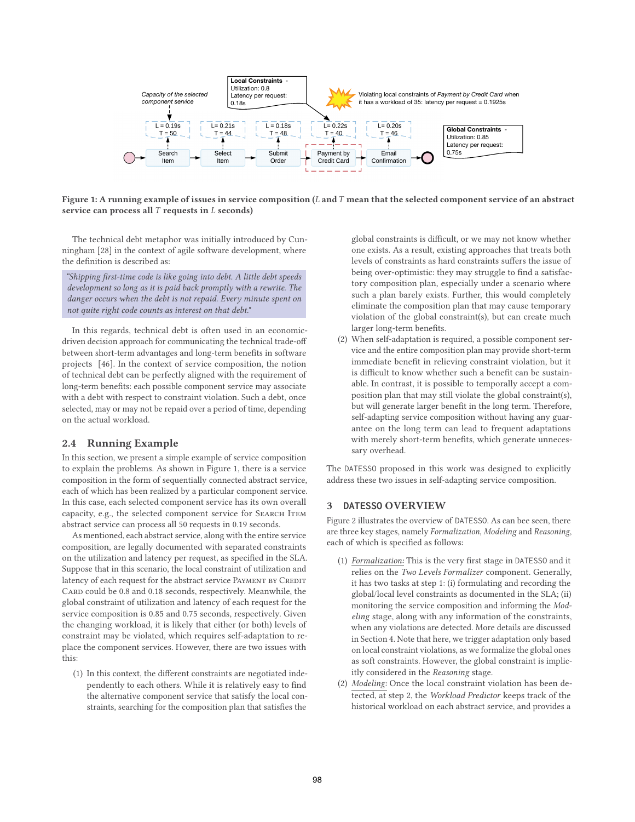

**Figure 1: A running example of issues in service composition (**L **and**T **mean that the selected component service of an abstract service can process all** T **requests in** L **seconds)**

The technical debt metaphor was initially introduced by Cunningham [28] in the context of agile software development, where the definition is described as:

*"Shipping first-time code is like going into debt. A little debt speeds development so long as it is paid back promptly with a rewrite. The danger occurs when the debt is not repaid. Every minute spent on not quite right code counts as interest on that debt."*

In this regards, technical debt is often used in an economicdriven decision approach for communicating the technical trade-off between short-term advantages and long-term benefits in software projects [46]. In the context of service composition, the notion of technical debt can be perfectly aligned with the requirement of long-term benefits: each possible component service may associate with a debt with respect to constraint violation. Such a debt, once selected, may or may not be repaid over a period of time, depending on the actual workload.

## **2.4 Running Example**

In this section, we present a simple example of service composition to explain the problems. As shown in Figure 1, there is a service composition in the form of sequentially connected abstract service, each of which has been realized by a particular component service. In this case, each selected component service has its own overall capacity, e.g., the selected component service for SEARCH ITEM abstract service can process all 50 requests in 0.19 seconds.

As mentioned, each abstract service, along with the entire service composition, are legally documented with separated constraints on the utilization and latency per request, as specified in the SLA. Suppose that in this scenario, the local constraint of utilization and latency of each request for the abstract service PAYMENT BY CREDIT CARD could be 0.8 and 0.18 seconds, respectively. Meanwhile, the global constraint of utilization and latency of each request for the service composition is 0.85 and 0.75 seconds, respectively. Given the changing workload, it is likely that either (or both) levels of constraint may be violated, which requires self-adaptation to replace the component services. However, there are two issues with this:

(1) In this context, the different constraints are negotiated independently to each others. While it is relatively easy to find the alternative component service that satisfy the local constraints, searching for the composition plan that satisfies the

global constraints is difficult, or we may not know whether one exists. As a result, existing approaches that treats both levels of constraints as hard constraints suffers the issue of being over-optimistic: they may struggle to find a satisfactory composition plan, especially under a scenario where such a plan barely exists. Further, this would completely eliminate the composition plan that may cause temporary violation of the global constraint(s), but can create much larger long-term benefits.

(2) When self-adaptation is required, a possible component service and the entire composition plan may provide short-term immediate benefit in relieving constraint violation, but it is difficult to know whether such a benefit can be sustainable. In contrast, it is possible to temporally accept a composition plan that may still violate the global constraint(s), but will generate larger benefit in the long term. Therefore, self-adapting service composition without having any guarantee on the long term can lead to frequent adaptations with merely short-term benefits, which generate unnecessary overhead.

The DATESSO proposed in this work was designed to explicitly address these two issues in self-adapting service composition.

#### **3 DATESSO OVERVIEW**

Figure 2 illustrates the overview of DATESSO. As can bee seen, there are three key stages, namely *Formalization*, *Modeling* and *Reasoning*, each of which is specified as follows:

- (1) *Formalization:* This is the very first stage in DATESSO and it relies on the *Two Levels Formalizer* component. Generally, it has two tasks at step 1: (i) formulating and recording the global/local level constraints as documented in the SLA; (ii) monitoring the service composition and informing the *Modeling* stage, along with any information of the constraints, when any violations are detected. More details are discussed in Section 4. Note that here, we trigger adaptation only based on local constraint violations, as we formalize the global ones as soft constraints. However, the global constraint is implicitly considered in the *Reasoning* stage.
- (2) *Modeling:* Once the local constraint violation has been detected, at step 2, the *Workload Predictor* keeps track of the historical workload on each abstract service, and provides a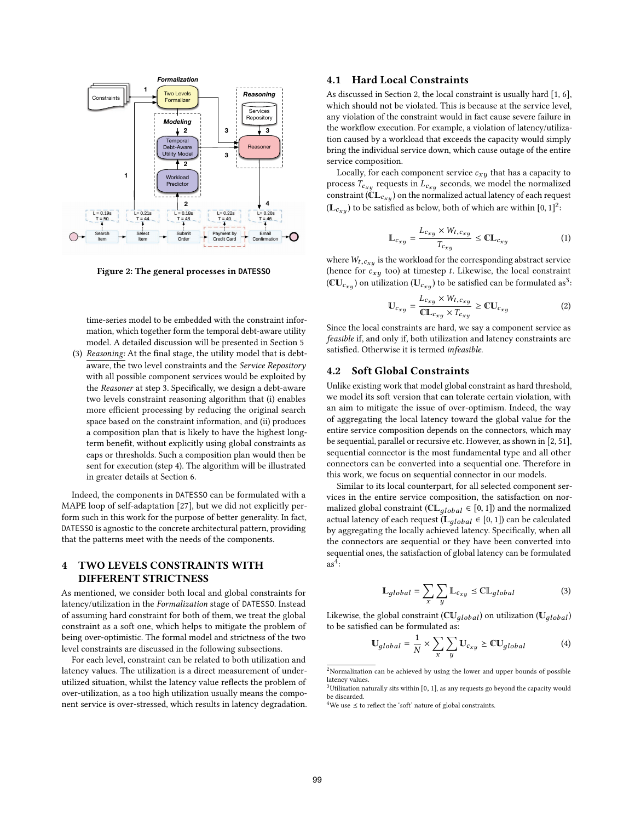

**Figure 2: The general processes in DATESSO**

time-series model to be embedded with the constraint information, which together form the temporal debt-aware utility model. A detailed discussion will be presented in Section 5

(3) *Reasoning:* At the final stage, the utility model that is debtaware, the two level constraints and the *Service Repository* with all possible component services would be exploited by the *Reasoner* at step 3. Specifically, we design a debt-aware two levels constraint reasoning algorithm that (i) enables more efficient processing by reducing the original search space based on the constraint information, and (ii) produces a composition plan that is likely to have the highest longterm benefit, without explicitly using global constraints as caps or thresholds. Such a composition plan would then be sent for execution (step 4). The algorithm will be illustrated in greater details at Section 6.

Indeed, the components in DATESSO can be formulated with a MAPE loop of self-adaptation [27], but we did not explicitly perform such in this work for the purpose of better generality. In fact, DATESSO is agnostic to the concrete architectural pattern, providing that the patterns meet with the needs of the components.

# **4 TWO LEVELS CONSTRAINTS WITH DIFFERENT STRICTNESS**

As mentioned, we consider both local and global constraints for latency/utilization in the *Formalization* stage of DATESSO. Instead of assuming hard constraint for both of them, we treat the global constraint as a soft one, which helps to mitigate the problem of being over-optimistic. The formal model and strictness of the two level constraints are discussed in the following subsections.

For each level, constraint can be related to both utilization and latency values. The utilization is a direct measurement of underutilized situation, whilst the latency value reflects the problem of over-utilization, as a too high utilization usually means the component service is over-stressed, which results in latency degradation.

# **4.1 Hard Local Constraints**

As discussed in Section 2, the local constraint is usually hard [1, 6], which should not be violated. This is because at the service level, any violation of the constraint would in fact cause severe failure in the workflow execution. For example, a violation of latency/utilization caused by a workload that exceeds the capacity would simply bring the individual service down, which cause outage of the entire service composition.

Locally, for each component service  $c_{xy}$  that has a capacity to process  $T_{c_{xu}}$  requests in  $L_{c_{xu}}$  seconds, we model the normalized constraint ( $CL_{c_{x,y}}$ ) on the normalized actual latency of each request ( $\mathbb{L}_{c_{xu}}$ ) to be satisfied as below, both of which are within  $[0, 1]^2$ :

$$
\mathbb{L}_{c_{xy}} = \frac{L_{c_{xy}} \times W_{t,c_{xy}}}{T_{c_{x}y}} \leq \mathbb{C}\mathbb{L}_{c_{xy}}
$$
 (1)

where  $W_{t,c_{x,y}}$  is the workload for the corresponding abstract service (hence for  $c_{xy}$  too) at timestep t. Likewise, the local constraint ( $CU_{c_{x,y}}$ ) on utilization ( $U_{c_{x,y}}$ ) to be satisfied can be formulated as<sup>3</sup>:

$$
\mathbb{U}_{c_{xy}} = \frac{L_{c_{xy}} \times W_{t,c_{xy}}}{\mathbb{CL}_{c_{xy}} \times T_{c_{xy}}} \geq \mathbb{CU}_{c_{xy}}
$$
(2)

Since the local constraints are hard, we say a component service as *feasible* if, and only if, both utilization and latency constraints are satisfied. Otherwise it is termed *infeasible*.

# **4.2 Soft Global Constraints**

Unlike existing work that model global constraint as hard threshold, we model its soft version that can tolerate certain violation, with an aim to mitigate the issue of over-optimism. Indeed, the way of aggregating the local latency toward the global value for the entire service composition depends on the connectors, which may be sequential, parallel or recursive etc. However, as shown in [2, 51], sequential connector is the most fundamental type and all other connectors can be converted into a sequential one. Therefore in this work, we focus on sequential connector in our models.

Similar to its local counterpart, for all selected component services in the entire service composition, the satisfaction on normalized global constraint ( $CL_{alobel} \in [0, 1]$ ) and the normalized actual latency of each request ( $\mathbb{L}_{global} \in [0, 1]$ ) can be calculated by aggregating the locally achieved latency. Specifically, when all the connectors are sequential or they have been converted into sequential ones, the satisfaction of global latency can be formulated  $as<sup>4</sup>$ :

$$
\mathbb{L}_{global} = \sum_{x} \sum_{y} \mathbb{L}_{c_{xy}} \leq \mathbb{C} \mathbb{L}_{global}
$$
 (3)

Likewise, the global constraint ( $\mathbb{CU}_{alobal}$ ) on utilization ( $\mathbb{U}_{alobal}$ ) to be satisfied can be formulated as:

$$
\mathbb{U}_{global} = \frac{1}{N} \times \sum_{x} \sum_{y} \mathbb{U}_{c_{xy}} \geq \mathbb{C} \mathbb{U}_{global} \tag{4}
$$

<sup>2</sup>Normalization can be achieved by using the lower and upper bounds of possible latency values.

 $3$ Utilization naturally sits within [0, 1], as any requests go beyond the capacity would be discarded.

<sup>&</sup>lt;sup>4</sup>We use  $\leq$  to reflect the 'soft' nature of global constraints.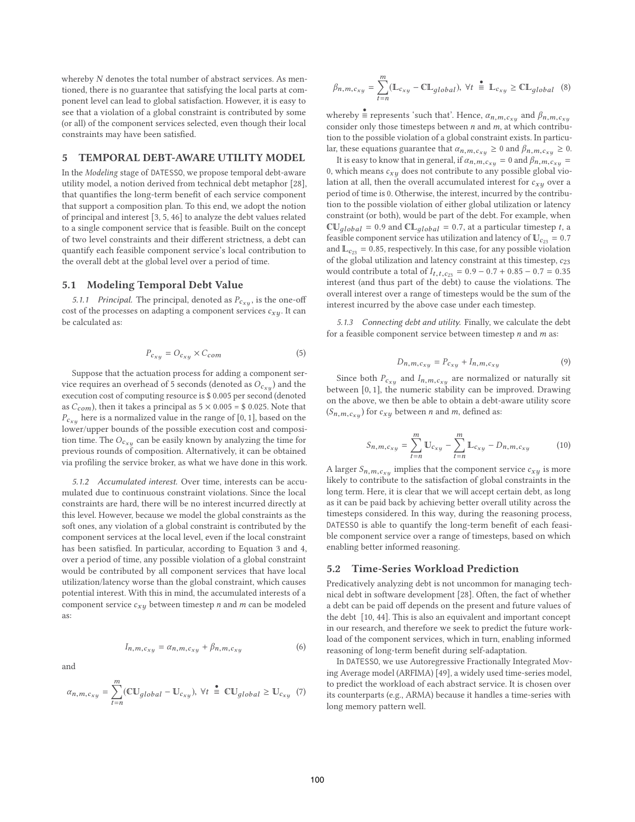whereby N denotes the total number of abstract services. As mentioned, there is no guarantee that satisfying the local parts at component level can lead to global satisfaction. However, it is easy to see that a violation of a global constraint is contributed by some (or all) of the component services selected, even though their local constraints may have been satisfied.

#### **5 TEMPORAL DEBT-AWARE UTILITY MODEL**

In the *Modeling* stage of DATESSO, we propose temporal debt-aware utility model, a notion derived from technical debt metaphor [28], that quantifies the long-term benefit of each service component that support a composition plan. To this end, we adopt the notion of principal and interest [3, 5, 46] to analyze the debt values related to a single component service that is feasible. Built on the concept of two level constraints and their different strictness, a debt can quantify each feasible component service's local contribution to the overall debt at the global level over a period of time.

## **5.1 Modeling Temporal Debt Value**

*5.1.1 Principal.* The principal, denoted as  $P_{c_{xu}}$ , is the one-off cost of the processes on adapting a component services  $c_{xy}$ . It can be calculated as:

$$
P_{c_{xu}} = O_{c_{xu}} \times C_{com} \tag{5}
$$

Suppose that the actuation process for adding a component service requires an overhead of 5 seconds (denoted as  $O_{c_{x,y}}$ ) and the execution cost of computing resource is \$ 0.005 per second (denoted as  $C_{com}$ ), then it takes a principal as  $5 \times 0.005 = $ 0.025$ . Note that  $P_{c_{x,y}}$  here is a normalized value in the range of [0, 1], based on the lower/upper bounds of the possible execution cost and composition time. The  $O_{c_{x,y}}$  can be easily known by analyzing the time for previous rounds of composition. Alternatively, it can be obtained via profiling the service broker, as what we have done in this work.

*5.1.2 Accumulated interest.* Over time, interests can be accumulated due to continuous constraint violations. Since the local constraints are hard, there will be no interest incurred directly at this level. However, because we model the global constraints as the soft ones, any violation of a global constraint is contributed by the component services at the local level, even if the local constraint has been satisfied. In particular, according to Equation 3 and 4, over a period of time, any possible violation of a global constraint would be contributed by all component services that have local utilization/latency worse than the global constraint, which causes potential interest. With this in mind, the accumulated interests of a component service  $c_{xy}$  between timestep n and m can be modeled as:

and

m

$$
f_{\rm{max}}
$$

 $I_{n,m,c_{xy}} = \alpha_{n,m,c_{xy}} + \beta_{n,m,c_{xy}}$  (6)

$$
\alpha_{n,m,c_{xy}} = \sum_{t=n}^{N} (\mathbb{C} \mathbb{U}_{global} - \mathbb{U}_{c_{xy}}), \ \forall t \stackrel{\bullet}{\equiv} \mathbb{C} \mathbb{U}_{global} \geq \mathbb{U}_{c_{xy}} \tag{7}
$$

$$
\beta_{n,m,c_{xy}} = \sum_{t=n}^{m} (\mathbb{L}_{c_{xy}} - \mathbb{CL}_{global}), \forall t \stackrel{\bullet}{=} \mathbb{L}_{c_{xy}} \geq \mathbb{CL}_{global}
$$
 (8)

whereby  $\stackrel{\bullet}{\equiv}$  represents 'such that'. Hence,  $\alpha_{n,m,c_{x,y}}$  and  $\beta_{n,m,c_{x,y}}$ consider only those timesteps between  $n$  and  $m$ , at which contribution to the possible violation of a global constraint exists. In particular, these equations guarantee that  $\alpha_{n,m,c_{x,y}} \geq 0$  and  $\beta_{n,m,c_{x,y}} \geq 0$ .

It is easy to know that in general, if  $\alpha_{n,m,c_{x} = 0$  and  $\beta_{n,m,c_{x} = 0}$ 0, which means  $c_{xy}$  does not contribute to any possible global violation at all, then the overall accumulated interest for  $c_{xy}$  over a period of time is 0. Otherwise, the interest, incurred by the contribution to the possible violation of either global utilization or latency constraint (or both), would be part of the debt. For example, when  $\text{CU}_{global} = 0.9$  and  $\text{CL}_{global} = 0.7$ , at a particular timestep t, a feasible component service has utilization and latency of  $\mathbb{U}_{c_{23}} = 0.7$ and  $\mathbb{L}_{c_{23}} = 0.85$ , respectively. In this case, for any possible violation of the global utilization and latency constraint at this timestep,  $c_{23}$ would contribute a total of  $I_{t,t,c_{23}} = 0.9 - 0.7 + 0.85 - 0.7 = 0.35$ interest (and thus part of the debt) to cause the violations. The overall interest over a range of timesteps would be the sum of the interest incurred by the above case under each timestep.

*5.1.3 Connecting debt and utility.* Finally, we calculate the debt for a feasible component service between timestep  $n$  and  $m$  as:

$$
D_{n,m,c_{xy}} = P_{c_{xy}} + I_{n,m,c_{xy}}
$$
 (9)

Since both  $P_{c_{xy}}$  and  $I_{n,m,c_{xy}}$  are normalized or naturally sit between [0, 1], the numeric stability can be improved. Drawing on the above, we then be able to obtain a debt-aware utility score  $(S_{n,m,c_{xy}})$  for  $c_{xy}$  between *n* and *m*, defined as:

$$
S_{n,m,c_{xy}} = \sum_{t=n}^{m} \mathbb{U}_{c_{xy}} - \sum_{t=n}^{m} \mathbb{L}_{c_{xy}} - D_{n,m,c_{xy}}
$$
(10)

A larger  $S_{n,m,c_{xy}}$  implies that the component service  $c_{xy}$  is more likely to contribute to the satisfaction of global constraints in the long term. Here, it is clear that we will accept certain debt, as long as it can be paid back by achieving better overall utility across the timesteps considered. In this way, during the reasoning process, DATESSO is able to quantify the long-term benefit of each feasible component service over a range of timesteps, based on which enabling better informed reasoning.

#### **5.2 Time-Series Workload Prediction**

Predicatively analyzing debt is not uncommon for managing technical debt in software development [28]. Often, the fact of whether a debt can be paid off depends on the present and future values of the debt [10, 44]. This is also an equivalent and important concept in our research, and therefore we seek to predict the future workload of the component services, which in turn, enabling informed reasoning of long-term benefit during self-adaptation.

In DATESSO, we use Autoregressive Fractionally Integrated Moving Average model (ARFIMA) [49], a widely used time-series model, to predict the workload of each abstract service. It is chosen over its counterparts (e.g., ARMA) because it handles a time-series with long memory pattern well.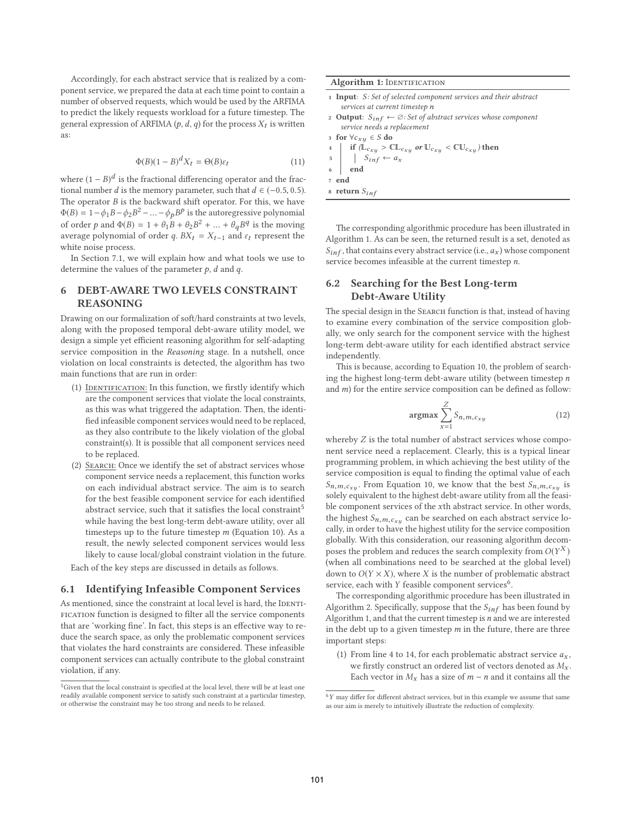Accordingly, for each abstract service that is realized by a component service, we prepared the data at each time point to contain a number of observed requests, which would be used by the ARFIMA to predict the likely requests workload for a future timestep. The general expression of ARFIMA ( $p$ ,  $d$ ,  $q$ ) for the process  $X_t$  is written as:

$$
\Phi(B)(1-B)^d X_t = \Theta(B)\varepsilon_t \tag{11}
$$

where  $(1 - B)^d$  is the fractional differencing operator and the fractional number d is the memory parameter, such that  $d \in (-0.5, 0.5)$ . The operator  $B$  is the backward shift operator. For this, we have  $\Phi(B) = 1 - \phi_1 B - \phi_2 B^2 - \dots - \phi_p B^p$  is the autoregressive polynomial of order p and  $\Phi(B) = 1 + \theta_1 B + \theta_2 B^2 + \dots + \theta_q B^q$  is the moving average polynomial of order q.  $BX_t = X_{t-1}$  and  $\varepsilon_t$  represent the white noise process.

In Section 7.1, we will explain how and what tools we use to determine the values of the parameter  $p$ ,  $d$  and  $q$ .

# **6 DEBT-AWARE TWO LEVELS CONSTRAINT REASONING**

Drawing on our formalization of soft/hard constraints at two levels, along with the proposed temporal debt-aware utility model, we design a simple yet efficient reasoning algorithm for self-adapting service composition in the *Reasoning* stage. In a nutshell, once violation on local constraints is detected, the algorithm has two main functions that are run in order:

- (1) IDENTIFICATION: In this function, we firstly identify which are the component services that violate the local constraints, as this was what triggered the adaptation. Then, the identified infeasible component services would need to be replaced, as they also contribute to the likely violation of the global constraint(s). It is possible that all component services need to be replaced.
- (2) Search: Once we identify the set of abstract services whose component service needs a replacement, this function works on each individual abstract service. The aim is to search for the best feasible component service for each identified abstract service, such that it satisfies the local constraint<sup>5</sup> while having the best long-term debt-aware utility, over all timesteps up to the future timestep  $m$  (Equation 10). As a result, the newly selected component services would less likely to cause local/global constraint violation in the future.

Each of the key steps are discussed in details as follows.

# **6.1 Identifying Infeasible Component Services**

As mentioned, since the constraint at local level is hard, the IDENTIfication function is designed to filter all the service components that are 'working fine'. In fact, this steps is an effective way to reduce the search space, as only the problematic component services that violates the hard constraints are considered. These infeasible component services can actually contribute to the global constraint violation, if any.

|       | 1 <b>Input</b> : S: Set of selected component services and their abstract                                                                              |  |  |  |  |  |
|-------|--------------------------------------------------------------------------------------------------------------------------------------------------------|--|--|--|--|--|
|       | services at current timestep n                                                                                                                         |  |  |  |  |  |
|       | 2 <b>Output</b> : $S_{inf} \leftarrow \emptyset$ : Set of abstract services whose component                                                            |  |  |  |  |  |
|       | service needs a replacement                                                                                                                            |  |  |  |  |  |
|       | 3 for $\forall c_{x,y} \in S$ do                                                                                                                       |  |  |  |  |  |
|       |                                                                                                                                                        |  |  |  |  |  |
|       | 4 if $(\mathbb{L}_{c_{xy}} > \mathbb{CL}_{c_{xy}} \text{ or } \mathbb{U}_{c_{xy}} < \mathbb{CL}_{c_{xy}})$ then<br>5 $S_{inf} \leftarrow a_x$<br>6 end |  |  |  |  |  |
|       |                                                                                                                                                        |  |  |  |  |  |
| 7 end |                                                                                                                                                        |  |  |  |  |  |
|       | 8 return $S_{inf}$                                                                                                                                     |  |  |  |  |  |
|       |                                                                                                                                                        |  |  |  |  |  |

The corresponding algorithmic procedure has been illustrated in Algorithm 1. As can be seen, the returned result is a set, denoted as  $S_{inf}$ , that contains every abstract service (i.e.,  $a_x$ ) whose component service becomes infeasible at the current timestep n.

# **6.2 Searching for the Best Long-term Debt-Aware Utility**

The special design in the SEARCH function is that, instead of having to examine every combination of the service composition globally, we only search for the component service with the highest long-term debt-aware utility for each identified abstract service independently.

This is because, according to Equation 10, the problem of searching the highest long-term debt-aware utility (between timestep  $n$ and  $m$ ) for the entire service composition can be defined as follow:

$$
\underset{x=1}{\operatorname{argmax}} \sum_{x=1}^{Z} S_{n,m,c_{xy}} \tag{12}
$$

whereby Z is the total number of abstract services whose component service need a replacement. Clearly, this is a typical linear programming problem, in which achieving the best utility of the service composition is equal to finding the optimal value of each  $S_{n,m,c_{x,y}}$ . From Equation 10, we know that the best  $S_{n,m,c_{x,y}}$  is solely equivalent to the highest debt-aware utility from all the feasible component services of the xth abstract service. In other words, the highest  $S_{n,m,c_{xy}}$  can be searched on each abstract service locally, in order to have the highest utility for the service composition globally. With this consideration, our reasoning algorithm decomposes the problem and reduces the search complexity from  $O(Y^X)$ (when all combinations need to be searched at the global level) down to  $O(Y \times X)$ , where X is the number of problematic abstract service, each with  $Y$  feasible component services<sup>6</sup>.

The corresponding algorithmic procedure has been illustrated in Algorithm 2. Specifically, suppose that the  $S_{inf}$  has been found by Algorithm 1, and that the current timestep is  $n$  and we are interested in the debt up to a given timestep  $m$  in the future, there are three important steps:

(1) From line 4 to 14, for each problematic abstract service  $a_x$ , we firstly construct an ordered list of vectors denoted as  $M_x$ . Each vector in  $M_x$  has a size of  $m - n$  and it contains all the

<sup>&</sup>lt;sup>5</sup>Given that the local constraint is specified at the local level, there will be at least one readily available component service to satisfy such constraint at a particular timestep, or otherwise the constraint may be too strong and needs to be relaxed.

 $^6\,Y$  may differ for different abstract services, but in this example we assume that same as our aim is merely to intuitively illustrate the reduction of complexity.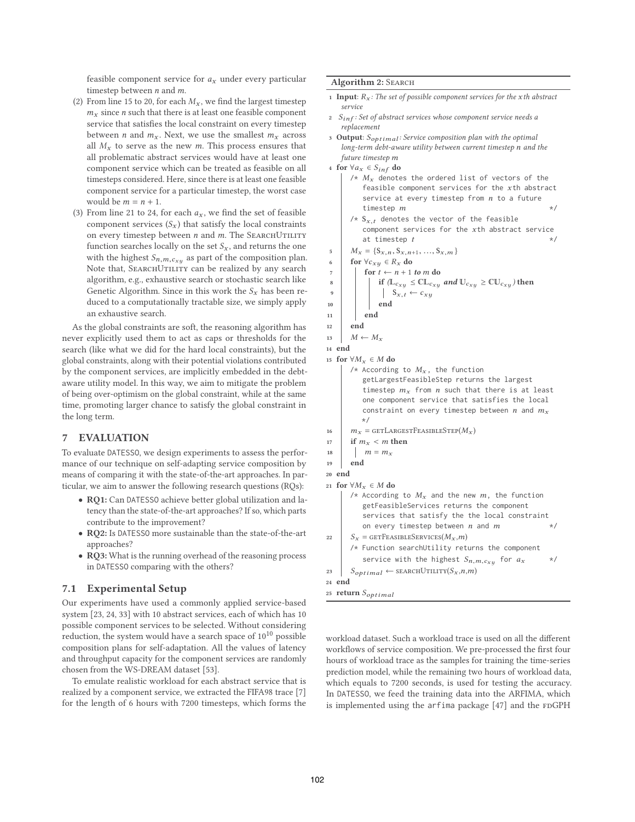feasible component service for  $a_x$  under every particular timestep between *n* and *m*.

- (2) From line 15 to 20, for each  $M_x$ , we find the largest timestep  $m<sub>x</sub>$  since *n* such that there is at least one feasible component service that satisfies the local constraint on every timestep between *n* and  $m<sub>x</sub>$ . Next, we use the smallest  $m<sub>x</sub>$  across all  $M_x$  to serve as the new *m*. This process ensures that all problematic abstract services would have at least one component service which can be treated as feasible on all timesteps considered. Here, since there is at least one feasible component service for a particular timestep, the worst case would be  $m = n + 1$ .
- (3) From line 21 to 24, for each  $a_x$ , we find the set of feasible component services  $(S_x)$  that satisfy the local constraints on every timestep between  $n$  and  $m$ . The SEARCHUTILITY function searches locally on the set  $S_x$ , and returns the one with the highest  $S_{n,m,c_{xy}}$  as part of the composition plan. Note that, SEARCHUTILITY can be realized by any search algorithm, e.g., exhaustive search or stochastic search like Genetic Algorithm. Since in this work the  $S_x$  has been reduced to a computationally tractable size, we simply apply an exhaustive search.

As the global constraints are soft, the reasoning algorithm has never explicitly used them to act as caps or thresholds for the search (like what we did for the hard local constraints), but the global constraints, along with their potential violations contributed by the component services, are implicitly embedded in the debtaware utility model. In this way, we aim to mitigate the problem of being over-optimism on the global constraint, while at the same time, promoting larger chance to satisfy the global constraint in the long term.

# **7 EVALUATION**

To evaluate DATESSO, we design experiments to assess the performance of our technique on self-adapting service composition by means of comparing it with the state-of-the-art approaches. In particular, we aim to answer the following research questions (RQs):

- **RQ1:** Can DATESSO achieve better global utilization and latency than the state-of-the-art approaches? If so, which parts contribute to the improvement?
- **RQ2:** Is DATESSO more sustainable than the state-of-the-art approaches?
- **RQ3:** What is the running overhead of the reasoning process in DATESSO comparing with the others?

# **7.1 Experimental Setup**

Our experiments have used a commonly applied service-based system [23, 24, 33] with 10 abstract services, each of which has 10 possible component services to be selected. Without considering reduction, the system would have a search space of  $10^{10}$  possible composition plans for self-adaptation. All the values of latency and throughput capacity for the component services are randomly chosen from the WS-DREAM dataset [53].

To emulate realistic workload for each abstract service that is realized by a component service, we extracted the FIFA98 trace [7] for the length of 6 hours with 7200 timesteps, which forms the

#### **Algorithm 2:** Search

- 1 **Input**:  $R_x$ : The set of possible component services for the x<sup>th</sup> abstract *service*
- **<sup>2</sup>** Sinf *: Set of abstract services whose component service needs a replacement*
- **<sup>3</sup> Output**: Soptimal *: Service composition plan with the optimal long-term debt-aware utility between current timestep* n *and the future timestep* m
- **<sup>4</sup> for** ∀a<sup>x</sup> ∈ Sinf **do**  $/*$   $M_x$  denotes the ordered list of vectors of the
	- feasible component services for the  $x$ th abstract service at every timestep from  $n$  to a future timestep  $m$  \*/
	- $/* S_{x,t}$  denotes the vector of the feasible component services for the xth abstract service at timestep  $t$  \*/
- $M_x = \{S_{x,n}, S_{x,n+1}, ..., S_{x,m}\}$ <br> **6** for  $\forall c_{x,y} \in R_x$  do
- **for**  $\forall c_{xy} \in R_x$  **do**
- **7 for**  $t \leftarrow n + 1$  *to m* **do**

$$
8 \qquad \qquad \text{if } (\mathbb{L}_{c_{xy}} \leq \mathbb{CL}_{c_{xy}} \text{ and } \mathbb{U}_{c_{xy}} \geq \mathbb{CU}_{c_{xy}}) \text{ then}
$$

- $\begin{array}{c|c|c} \hline \text{9} & \text{10} \\ \hline \text{10} & \text{11} \end{array}$   $\begin{array}{c} \text{9} & \text{11} \\ \text{10} & \text{11} \end{array}$ **<sup>10</sup> end**
- 
- **<sup>11</sup> end**
- **<sup>12</sup> end**
- 13  $M \leftarrow M_x$

**<sup>14</sup> end**

```
15 for ∀Mx ∈ M do
      /* According to M_x, the function
         getLargestFeasibleStep returns the largest
         timestep m_x from n such that there is at least
         one component service that satisfies the local
         constraint on every timestep between n and m<sub>x</sub>*/
```
- 16  $m_x = \text{GETLARGESTFeASIBLEStep}(M_x)$
- 17 **if**  $m_x < m$  then
- 18  $m = m_r$
- **<sup>19</sup> end**

```
20 end
```

```
21 for ∀Mx ∈ M do
```

```
/* According to M_x and the new m, the function
         getFeasibleServices returns the component
         services that satisfy the the local constraint
         on every timestep between n and m */
22 S_x = \text{GETFeasible}SERVICES(M_x, m)/* Function searchUtility returns the component
         service with the highest S_{n,m,c_{x,y}} for a_x */
23 S_{optimal} \leftarrow searchUtility(S_x, n, m)
```

```
24 end
```

```
25 return Soptimal
```
workload dataset. Such a workload trace is used on all the different workflows of service composition. We pre-processed the first four hours of workload trace as the samples for training the time-series prediction model, while the remaining two hours of workload data, which equals to 7200 seconds, is used for testing the accuracy. In DATESSO, we feed the training data into the ARFIMA, which is implemented using the arfima package [47] and the FDGPH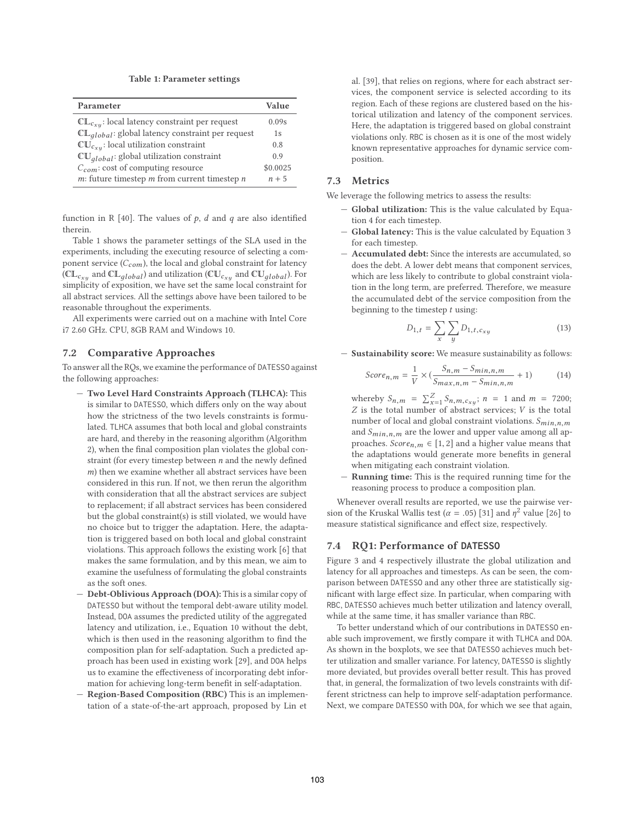**Table 1: Parameter settings**

| Parameter                                             | Value    |
|-------------------------------------------------------|----------|
| $CL_{c_{xy}}$ : local latency constraint per request  | 0.09s    |
| $CL_{global}$ : global latency constraint per request | 1s       |
| $CU_{c_{x}u}$ : local utilization constraint          | 0.8      |
| $CUglobal:$ global utilization constraint             | 0.9      |
| $C_{com}$ : cost of computing resource                | \$0.0025 |
| $m$ : future timestep $m$ from current timestep $n$   | $n + 5$  |

function in R [40]. The values of  $p$ ,  $d$  and  $q$  are also identified therein.

Table 1 shows the parameter settings of the SLA used in the experiments, including the executing resource of selecting a component service  $(C_{com})$ , the local and global constraint for latency ( $CL_{c_{xu}}$  and  $CL_{global}$ ) and utilization ( $CU_{c_{xu}}$  and  $CU_{global}$ ). For simplicity of exposition, we have set the same local constraint for all abstract services. All the settings above have been tailored to be reasonable throughout the experiments.

All experiments were carried out on a machine with Intel Core i7 2.60 GHz. CPU, 8GB RAM and Windows 10.

# **7.2 Comparative Approaches**

To answer all the RQs, we examine the performance of DATESSO against the following approaches:

- **Two Level Hard Constraints Approach (TLHCA):** This is similar to DATESSO, which differs only on the way about how the strictness of the two levels constraints is formulated. TLHCA assumes that both local and global constraints are hard, and thereby in the reasoning algorithm (Algorithm 2), when the final composition plan violates the global constraint (for every timestep between n and the newly defined m) then we examine whether all abstract services have been considered in this run. If not, we then rerun the algorithm with consideration that all the abstract services are subject to replacement; if all abstract services has been considered but the global constraint(s) is still violated, we would have no choice but to trigger the adaptation. Here, the adaptation is triggered based on both local and global constraint violations. This approach follows the existing work [6] that makes the same formulation, and by this mean, we aim to examine the usefulness of formulating the global constraints as the soft ones.
- **Debt-Oblivious Approach (DOA):** This is a similar copy of DATESSO but without the temporal debt-aware utility model. Instead, DOA assumes the predicted utility of the aggregated latency and utilization, i.e., Equation 10 without the debt, which is then used in the reasoning algorithm to find the composition plan for self-adaptation. Such a predicted approach has been used in existing work [29], and DOA helps us to examine the effectiveness of incorporating debt information for achieving long-term benefit in self-adaptation.
- **Region-Based Composition (RBC)** This is an implementation of a state-of-the-art approach, proposed by Lin et

al. [39], that relies on regions, where for each abstract services, the component service is selected according to its region. Each of these regions are clustered based on the historical utilization and latency of the component services. Here, the adaptation is triggered based on global constraint violations only. RBC is chosen as it is one of the most widely known representative approaches for dynamic service composition.

# **7.3 Metrics**

We leverage the following metrics to assess the results:

- **Global utilization:** This is the value calculated by Equation 4 for each timestep.
- Global latency: This is the value calculated by Equation 3 for each timestep.
- **Accumulated debt:** Since the interests are accumulated, so does the debt. A lower debt means that component services, which are less likely to contribute to global constraint violation in the long term, are preferred. Therefore, we measure the accumulated debt of the service composition from the beginning to the timestep  $t$  using:

$$
D_{1,t} = \sum_{x} \sum_{y} D_{1,t,c_{xy}} \tag{13}
$$

— **Sustainability score:** We measure sustainability as follows:

$$
Score_{n,m} = \frac{1}{V} \times (\frac{S_{n,m} - S_{min,n,m}}{S_{max,n,m} - S_{min,n,m}} + 1)
$$
(14)

whereby  $S_{n,m} = \sum_{x=1}^{Z} S_{n,m,c_{xy}}$ ;  $n = 1$  and  $m = 7200$ ;  $Z$  is the total number of abstract services;  $V$  is the total number of local and global constraint violations.  $S_{min,n,m}$ and  $S_{min,n,m}$  are the lower and upper value among all approaches.  $Score_{n,m} \in [1,2]$  and a higher value means that the adaptations would generate more benefits in general when mitigating each constraint violation.

— **Running time:** This is the required running time for the reasoning process to produce a composition plan.

Whenever overall results are reported, we use the pairwise version of the Kruskal Wallis test ( $\alpha$  = .05) [31] and  $\eta^2$  value [26] to measure statistical significance and effect size, respectively.

## **7.4 RQ1: Performance of DATESSO**

Figure 3 and 4 respectively illustrate the global utilization and latency for all approaches and timesteps. As can be seen, the comparison between DATESSO and any other three are statistically significant with large effect size. In particular, when comparing with RBC, DATESSO achieves much better utilization and latency overall, while at the same time, it has smaller variance than RBC.

To better understand which of our contributions in DATESSO enable such improvement, we firstly compare it with TLHCA and DOA. As shown in the boxplots, we see that DATESSO achieves much better utilization and smaller variance. For latency, DATESSO is slightly more deviated, but provides overall better result. This has proved that, in general, the formalization of two levels constraints with different strictness can help to improve self-adaptation performance. Next, we compare DATESSO with DOA, for which we see that again,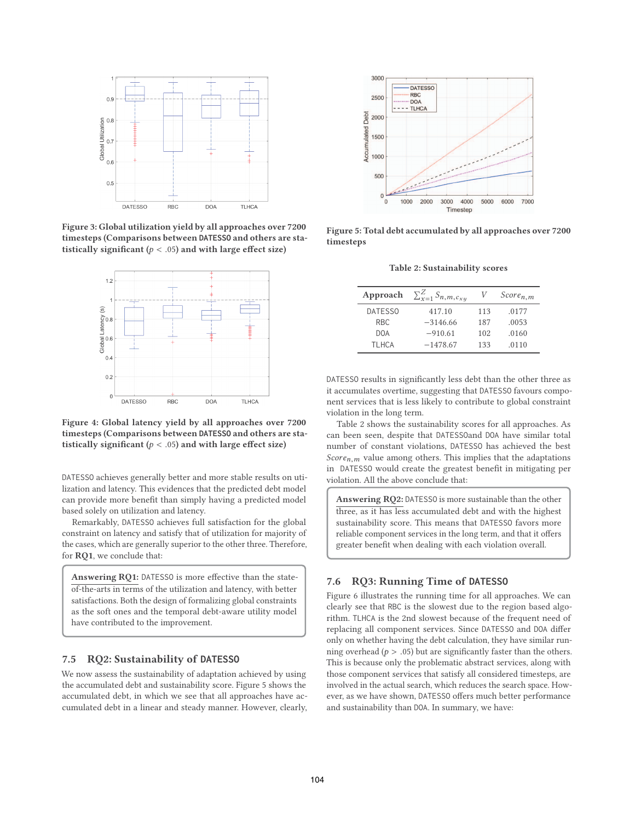

**Figure 3: Global utilization yield by all approaches over 7200 timesteps (Comparisons between DATESSO and others are statistically significant (**p < .05**) and with large effect size)**



**Figure 4: Global latency yield by all approaches over 7200 timesteps (Comparisons between DATESSO and others are statistically significant (**p < .05**) and with large effect size)**

DATESSO achieves generally better and more stable results on utilization and latency. This evidences that the predicted debt model can provide more benefit than simply having a predicted model based solely on utilization and latency.

Remarkably, DATESSO achieves full satisfaction for the global constraint on latency and satisfy that of utilization for majority of the cases, which are generally superior to the other three. Therefore, for **RQ1**, we conclude that:

**Answering RQ1:** DATESSO is more effective than the stateof-the-arts in terms of the utilization and latency, with better satisfactions. Both the design of formalizing global constraints as the soft ones and the temporal debt-aware utility model have contributed to the improvement.

#### **7.5 RQ2: Sustainability of DATESSO**

We now assess the sustainability of adaptation achieved by using the accumulated debt and sustainability score. Figure 5 shows the accumulated debt, in which we see that all approaches have accumulated debt in a linear and steady manner. However, clearly,



**Figure 5: Total debt accumulated by all approaches over 7200 timesteps**

**Table 2: Sustainability scores**

| Approach   | $\sum_{x=1}^{Z} S_{n,m,c_{xy}}$ | V   | $Score_{n,m}$ |
|------------|---------------------------------|-----|---------------|
| DATESSO    | 417.10                          | 113 | .0177         |
| RBC.       | $-3146.66$                      | 187 | .0053         |
| <b>DOA</b> | $-910.61$                       | 102 | .0160         |
| TI HCA     | $-1478.67$                      | 133 | .0110         |
|            |                                 |     |               |

DATESSO results in significantly less debt than the other three as it accumulates overtime, suggesting that DATESSO favours component services that is less likely to contribute to global constraint violation in the long term.

Table 2 shows the sustainability scores for all approaches. As can been seen, despite that DATESSOand DOA have similar total number of constant violations, DATESSO has achieved the best Score<sub>n,m</sub> value among others. This implies that the adaptations in DATESSO would create the greatest benefit in mitigating per violation. All the above conclude that:

**Answering RQ2:** DATESSO is more sustainable than the other three, as it has less accumulated debt and with the highest sustainability score. This means that DATESSO favors more reliable component services in the long term, and that it offers greater benefit when dealing with each violation overall.

# **7.6 RQ3: Running Time of DATESSO**

Figure 6 illustrates the running time for all approaches. We can clearly see that RBC is the slowest due to the region based algorithm. TLHCA is the 2nd slowest because of the frequent need of replacing all component services. Since DATESSO and DOA differ only on whether having the debt calculation, they have similar running overhead ( $p > .05$ ) but are significantly faster than the others. This is because only the problematic abstract services, along with those component services that satisfy all considered timesteps, are involved in the actual search, which reduces the search space. However, as we have shown, DATESSO offers much better performance and sustainability than DOA. In summary, we have: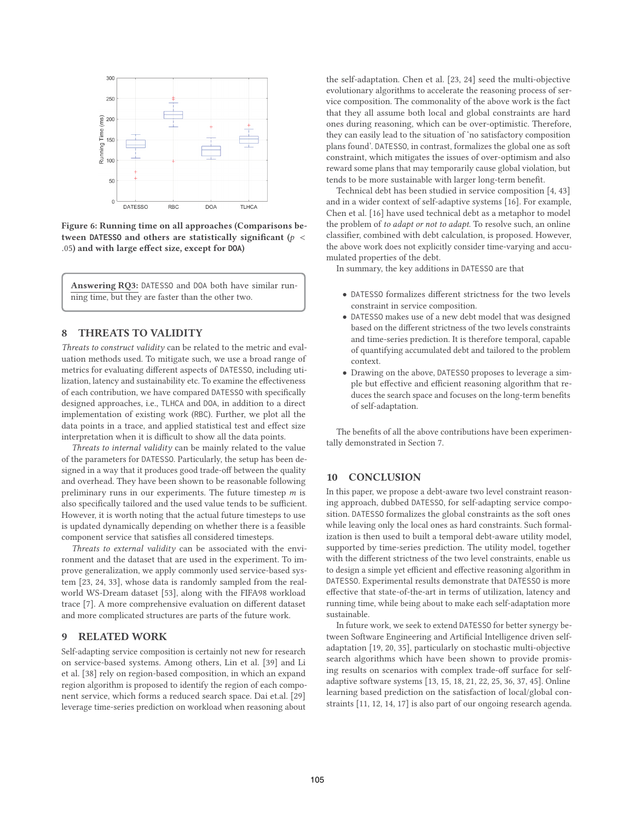

**Figure 6: Running time on all approaches (Comparisons between DATESSO and others are statistically significant (**p < .05**) and with large effect size, except for DOA)**

**Answering RQ3:** DATESSO and DOA both have similar running time, but they are faster than the other two.

# **8 THREATS TO VALIDITY**

*Threats to construct validity* can be related to the metric and evaluation methods used. To mitigate such, we use a broad range of metrics for evaluating different aspects of DATESSO, including utilization, latency and sustainability etc. To examine the effectiveness of each contribution, we have compared DATESSO with specifically designed approaches, i.e., TLHCA and DOA, in addition to a direct implementation of existing work (RBC). Further, we plot all the data points in a trace, and applied statistical test and effect size interpretation when it is difficult to show all the data points.

*Threats to internal validity* can be mainly related to the value of the parameters for DATESSO. Particularly, the setup has been designed in a way that it produces good trade-off between the quality and overhead. They have been shown to be reasonable following preliminary runs in our experiments. The future timestep  $m$  is also specifically tailored and the used value tends to be sufficient. However, it is worth noting that the actual future timesteps to use is updated dynamically depending on whether there is a feasible component service that satisfies all considered timesteps.

*Threats to external validity* can be associated with the environment and the dataset that are used in the experiment. To improve generalization, we apply commonly used service-based system [23, 24, 33], whose data is randomly sampled from the realworld WS-Dream dataset [53], along with the FIFA98 workload trace [7]. A more comprehensive evaluation on different dataset and more complicated structures are parts of the future work.

#### **9 RELATED WORK**

Self-adapting service composition is certainly not new for research on service-based systems. Among others, Lin et al. [39] and Li et al. [38] rely on region-based composition, in which an expand region algorithm is proposed to identify the region of each component service, which forms a reduced search space. Dai et.al. [29] leverage time-series prediction on workload when reasoning about

the self-adaptation. Chen et al. [23, 24] seed the multi-objective evolutionary algorithms to accelerate the reasoning process of service composition. The commonality of the above work is the fact that they all assume both local and global constraints are hard ones during reasoning, which can be over-optimistic. Therefore, they can easily lead to the situation of 'no satisfactory composition plans found'. DATESSO, in contrast, formalizes the global one as soft constraint, which mitigates the issues of over-optimism and also reward some plans that may temporarily cause global violation, but tends to be more sustainable with larger long-term benefit.

Technical debt has been studied in service composition [4, 43] and in a wider context of self-adaptive systems [16]. For example, Chen et al. [16] have used technical debt as a metaphor to model the problem of *to adapt or not to adapt*. To resolve such, an online classifier, combined with debt calculation, is proposed. However, the above work does not explicitly consider time-varying and accumulated properties of the debt.

In summary, the key additions in DATESSO are that

- DATESSO formalizes different strictness for the two levels constraint in service composition.
- DATESSO makes use of a new debt model that was designed based on the different strictness of the two levels constraints and time-series prediction. It is therefore temporal, capable of quantifying accumulated debt and tailored to the problem context.
- Drawing on the above, DATESSO proposes to leverage a simple but effective and efficient reasoning algorithm that reduces the search space and focuses on the long-term benefits of self-adaptation.

The benefits of all the above contributions have been experimentally demonstrated in Section 7.

# **10 CONCLUSION**

In this paper, we propose a debt-aware two level constraint reasoning approach, dubbed DATESSO, for self-adapting service composition. DATESSO formalizes the global constraints as the soft ones while leaving only the local ones as hard constraints. Such formalization is then used to built a temporal debt-aware utility model, supported by time-series prediction. The utility model, together with the different strictness of the two level constraints, enable us to design a simple yet efficient and effective reasoning algorithm in DATESSO. Experimental results demonstrate that DATESSO is more effective that state-of-the-art in terms of utilization, latency and running time, while being about to make each self-adaptation more sustainable.

In future work, we seek to extend DATESSO for better synergy between Software Engineering and Artificial Intelligence driven selfadaptation [19, 20, 35], particularly on stochastic multi-objective search algorithms which have been shown to provide promising results on scenarios with complex trade-off surface for selfadaptive software systems [13, 15, 18, 21, 22, 25, 36, 37, 45]. Online learning based prediction on the satisfaction of local/global constraints [11, 12, 14, 17] is also part of our ongoing research agenda.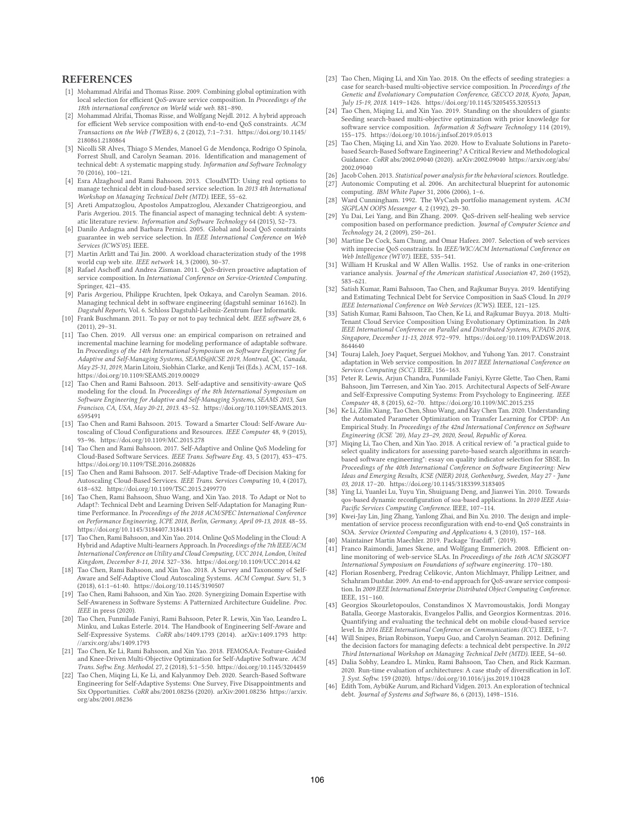# **REFERENCES**

- [1] Mohammad Alrifai and Thomas Risse. 2009. Combining global optimization with local selection for efficient QoS-aware service composition. In *Proceedings of the 18th international conference on World wide web*. 881–890.
- Mohammad Alrifai, Thomas Risse, and Wolfgang Nejdl. 2012. A hybrid approach for efficient Web service composition with end-to-end QoS constraints. *ACM Transactions on the Web (TWEB)* 6, 2 (2012), 7:1–7:31. https://doi.org/10.1145/ 2180861.2180864
- [3] Nicolli SR Alves, Thiago S Mendes, Manoel G de Mendonça, Rodrigo O Spínola, Forrest Shull, and Carolyn Seaman. 2016. Identification and management of technical debt: A systematic mapping study. *Information and Software Technology* 70 (2016), 100–121.
- [4] Esra Alzaghoul and Rami Bahsoon. 2013. CloudMTD: Using real options to manage technical debt in cloud-based service selection. In *2013 4th International Workshop on Managing Technical Debt (MTD)*. IEEE, 55–62.
- [5] Areti Ampatzoglou, Apostolos Ampatzoglou, Alexander Chatzigeorgiou, and Paris Avgeriou. 2015. The financial aspect of managing technical debt: A systematic literature review. *Information and Software Technology* 64 (2015), 52–73.
- [6] Danilo Ardagna and Barbara Pernici. 2005. Global and local QoS constraints guarantee in web service selection. In *IEEE International Conference on Web Services (ICWS'05)*. IEEE.
- [7] Martin Arlitt and Tai Jin. 2000. A workload characterization study of the 1998 world cup web site. *IEEE network* 14, 3 (2000), 30–37.
- [8] Rafael Aschoff and Andrea Zisman. 2011. QoS-driven proactive adaptation of service composition. In *International Conference on Service-Oriented Computing*. Springer, 421–435.
- [9] Paris Avgeriou, Philippe Kruchten, Ipek Ozkaya, and Carolyn Seaman. 2016. Managing technical debt in software engineering (dagstuhl seminar 16162). In *Dagstuhl Reports*, Vol. 6. Schloss Dagstuhl-Leibniz-Zentrum fuer Informatik.
- [10] Frank Buschmann. 2011. To pay or not to pay technical debt. *IEEE software* 28, 6 (2011), 29–31.
- [11] Tao Chen. 2019. All versus one: an empirical comparison on retrained and incremental machine learning for modeling performance of adaptable software. In *Proceedings of the 14th International Symposium on Software Engineering for Adaptive and Self-Managing Systems, SEAMS@ICSE 2019, Montreal, QC, Canada, May 25-31, 2019*, Marin Litoiu, Siobhán Clarke, and Kenji Tei (Eds.). ACM, 157–168. https://doi.org/10.1109/SEAMS.2019.00029
- [12] Tao Chen and Rami Bahsoon. 2013. Self-adaptive and sensitivity-aware QoS modeling for the cloud. In *Proceedings of the 8th International Symposium on Software Engineering for Adaptive and Self-Managing Systems, SEAMS 2013, San Francisco, CA, USA, May 20-21, 2013*. 43–52. https://doi.org/10.1109/SEAMS.2013. 6595491
- [13] Tao Chen and Rami Bahsoon. 2015. Toward a Smarter Cloud: Self-Aware Autoscaling of Cloud Configurations and Resources. *IEEE Computer* 48, 9 (2015), 93–96. https://doi.org/10.1109/MC.2015.278
- [14] Tao Chen and Rami Bahsoon. 2017. Self-Adaptive and Online QoS Modeling for Cloud-Based Software Services. *IEEE Trans. Software Eng.* 43, 5 (2017), 453–475. https://doi.org/10.1109/TSE.2016.2608826
- [15] Tao Chen and Rami Bahsoon. 2017. Self-Adaptive Trade-off Decision Making for Autoscaling Cloud-Based Services. *IEEE Trans. Services Computing* 10, 4 (2017), 618–632. https://doi.org/10.1109/TSC.2015.2499770
- [16] Tao Chen, Rami Bahsoon, Shuo Wang, and Xin Yao. 2018. To Adapt or Not to Adapt?: Technical Debt and Learning Driven Self-Adaptation for Managing Runtime Performance. In *Proceedings of the 2018 ACM/SPEC International Conference on Performance Engineering, ICPE 2018, Berlin, Germany, April 09-13, 2018*. 48–55. https://doi.org/10.1145/3184407.3184413
- [17] Tao Chen, Rami Bahsoon, and Xin Yao. 2014. Online QoS Modeling in the Cloud: A Hybrid and Adaptive Multi-learners Approach. In *Proceedings of the 7th IEEE/ACM International Conference on Utility and Cloud Computing, UCC 2014, London, United Kingdom, December 8-11, 2014*. 327–336. https://doi.org/10.1109/UCC.2014.42
- [18] Tao Chen, Rami Bahsoon, and Xin Yao. 2018. A Survey and Taxonomy of Self-Aware and Self-Adaptive Cloud Autoscaling Systems. *ACM Comput. Surv.* 51, 3 (2018), 61:1–61:40. https://doi.org/10.1145/3190507
- [19] Tao Chen, Rami Bahsoon, and Xin Yao. 2020. Synergizing Domain Expertise with Self-Awareness in Software Systems: A Patternized Architecture Guideline. *Proc. IEEE* in press (2020).
- [20] Tao Chen, Funmilade Faniyi, Rami Bahsoon, Peter R. Lewis, Xin Yao, Leandro L. Minku, and Lukas Esterle. 2014. The Handbook of Engineering Self-Aware and Self-Expressive Systems. *CoRR* abs/1409.1793 (2014). arXiv:1409.1793 http: //arxiv.org/abs/1409.1793
- [21] Tao Chen, Ke Li, Rami Bahsoon, and Xin Yao. 2018. FEMOSAA: Feature-Guided and Knee-Driven Multi-Objective Optimization for Self-Adaptive Software. *ACM Trans. Softw. Eng. Methodol.* 27, 2 (2018), 5:1–5:50. https://doi.org/10.1145/3204459
- [22] Tao Chen, Miqing Li, Ke Li, and Kalyanmoy Deb. 2020. Search-Based Software Engineering for Self-Adaptive Systems: One Survey, Five Disappointments and Six Opportunities. *CoRR* abs/2001.08236 (2020). arXiv:2001.08236 https://arxiv. org/abs/2001.08236
- [23] Tao Chen, Miqing Li, and Xin Yao. 2018. On the effects of seeding strategies: a case for search-based multi-objective service composition. In *Proceedings of the Genetic and Evolutionary Computation Conference, GECCO 2018, Kyoto, Japan, July 15-19, 2018*. 1419–1426. https://doi.org/10.1145/3205455.3205513
- [24] Tao Chen, Miqing Li, and Xin Yao. 2019. Standing on the shoulders of giants: Seeding search-based multi-objective optimization with prior knowledge for software service composition. *Information & Software Technology* 114 (2019), 155–175. https://doi.org/10.1016/j.infsof.2019.05.013
- [25] Tao Chen, Miqing Li, and Xin Yao. 2020. How to Evaluate Solutions in Paretobased Search-Based Software Engineering? A Critical Review and Methodological Guidance. *CoRR* abs/2002.09040 (2020). arXiv:2002.09040 https://arxiv.org/abs/ 2002.09040
- [26] Jacob Cohen. 2013. *Statistical power analysis for the behavioral sciences*. Routledge. Autonomic Computing et al. 2006. An architectural blueprint for autonomic computing. *IBM White Paper* 31, 2006 (2006), 1–6.
- [28] Ward Cunningham. 1992. The WyCash portfolio management system. *ACM SIGPLAN OOPS Messenger* 4, 2 (1992), 29–30.
- [29] Yu Dai, Lei Yang, and Bin Zhang. 2009. QoS-driven self-healing web service composition based on performance prediction. *Journal of Computer Science and Technology* 24, 2 (2009), 250–261.
- [30] Martine De Cock, Sam Chung, and Omar Hafeez. 2007. Selection of web services with imprecise QoS constraints. In *IEEE/WIC/ACM International Conference on Web Intelligence (WI'07)*. IEEE, 535–541.
- [31] William H Kruskal and W Allen Wallis. 1952. Use of ranks in one-criterion variance analysis. *Journal of the American statistical Association* 47, 260 (1952), 583–621.
- [32] Satish Kumar, Rami Bahsoon, Tao Chen, and Rajkumar Buyya. 2019. Identifying and Estimating Technical Debt for Service Composition in SaaS Cloud. In *2019 IEEE International Conference on Web Services (ICWS)*. IEEE, 121–125.
- Satish Kumar, Rami Bahsoon, Tao Chen, Ke Li, and Rajkumar Buyya. 2018. Multi-Tenant Cloud Service Composition Using Evolutionary Optimization. In *24th IEEE International Conference on Parallel and Distributed Systems, ICPADS 2018, Singapore, December 11-13, 2018*. 972–979. https://doi.org/10.1109/PADSW.2018. 8644640
- [34] Touraj Laleh, Joey Paquet, Serguei Mokhov, and Yuhong Yan. 2017. Constraint adaptation in Web service composition. In *2017 IEEE International Conference on Services Computing (SCC)*. IEEE, 156–163.
- [35] Peter R. Lewis, Arjun Chandra, Funmilade Faniyi, Kyrre Glette, Tao Chen, Rami Bahsoon, Jim Tørresen, and Xin Yao. 2015. Architectural Aspects of Self-Aware and Self-Expressive Computing Systems: From Psychology to Engineering. *IEEE Computer* 48, 8 (2015), 62–70. https://doi.org/10.1109/MC.2015.235
- [36] Ke Li, Zilin Xiang, Tao Chen, Shuo Wang, and Kay Chen Tan. 2020. Understanding the Automated Parameter Optimization on Transfer Learning for CPDP: An Empirical Study. In *Proceedings of the 42nd International Conference on Software Engineering (ICSE '20), May 23–29, 2020, Seoul, Republic of Korea*.
- [37] Miqing Li, Tao Chen, and Xin Yao. 2018. A critical review of: "a practical guide to select quality indicators for assessing pareto-based search algorithms in searchbased software engineering": essay on quality indicator selection for SBSE. In *Proceedings of the 40th International Conference on Software Engineering: New Ideas and Emerging Results, ICSE (NIER) 2018, Gothenburg, Sweden, May 27 - June 03, 2018*. 17–20. https://doi.org/10.1145/3183399.3183405
- [38] Ying Li, Yuanlei Lu, Yuyu Yin, Shuiguang Deng, and Jianwei Yin. 2010. Towards qos-based dynamic reconfiguration of soa-based applications. In *2010 IEEE Asia-Pacific Services Computing Conference*. IEEE, 107–114.
- [39] Kwei-Jay Lin, Jing Zhang, Yanlong Zhai, and Bin Xu. 2010. The design and implementation of service process reconfiguration with end-to-end QoS constraints in SOA. *Service Oriented Computing and Applications* 4, 3 (2010), 157–168. [40] Maintainer Martin Maechler. 2019. Package 'fracdiff'. (2019).
- 
- [41] Franco Raimondi, James Skene, and Wolfgang Emmerich. 2008. Efficient online monitoring of web-service SLAs. In *Proceedings of the 16th ACM SIGSOFT International Symposium on Foundations of software engineering*. 170–180.
- [42] Florian Rosenberg, Predrag Celikovic, Anton Michlmayr, Philipp Leitner, and Schahram Dustdar. 2009. An end-to-end approach for QoS-aware service composition. In *2009 IEEE International Enterprise Distributed Object Computing Conference*. IEEE, 151–160.
- [43] Georgios Skourletopoulos, Constandinos X Mavromoustakis, Jordi Mongay Batalla, George Mastorakis, Evangelos Pallis, and Georgios Kormentzas. 2016. Quantifying and evaluating the technical debt on mobile cloud-based service level. In *2016 IEEE International Conference on Communications (ICC)*. IEEE, 1–7.
- [44] Will Snipes, Brian Robinson, Yuepu Guo, and Carolyn Seaman. 2012. Defining the decision factors for managing defects: a technical debt perspective. In *2012 Third International Workshop on Managing Technical Debt (MTD)*. IEEE, 54–60.
- [45] Dalia Sobhy, Leandro L. Minku, Rami Bahsoon, Tao Chen, and Rick Kazman. 2020. Run-time evaluation of architectures: A case study of diversification in IoT. *J. Syst. Softw.* 159 (2020). https://doi.org/10.1016/j.jss.2019.110428
- [46] Edith Tom, AybüKe Aurum, and Richard Vidgen. 2013. An exploration of technical debt. *Journal of Systems and Software* 86, 6 (2013), 1498–1516.